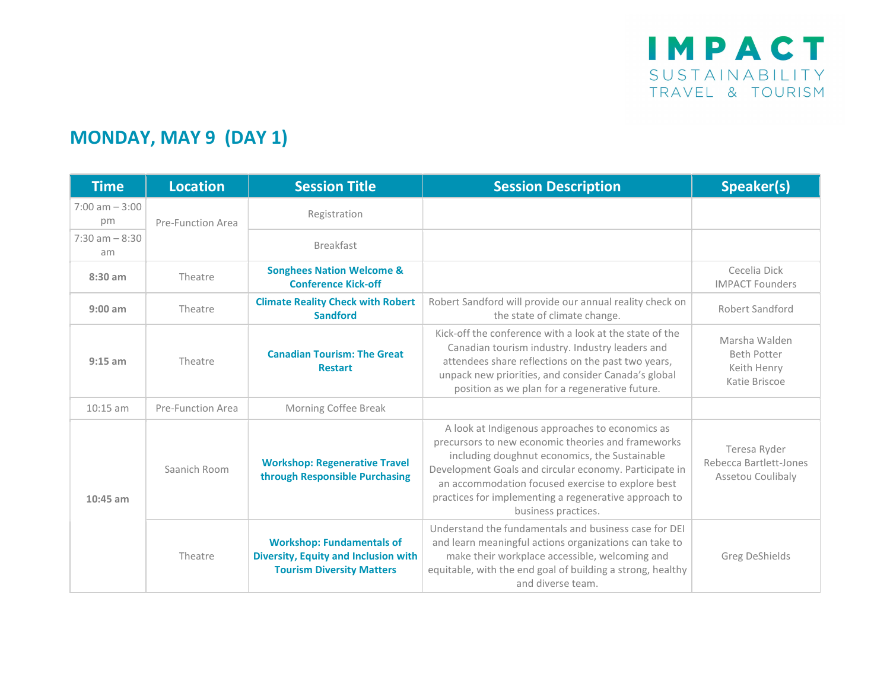## MONDAY, MAY 9 (DAY 1)

| <b>Time</b>             | <b>Location</b>          | <b>Session Title</b>                                                                                         | <b>Session Description</b>                                                                                                                                                                                                                                                                                                                            | Speaker(s)                                                          |
|-------------------------|--------------------------|--------------------------------------------------------------------------------------------------------------|-------------------------------------------------------------------------------------------------------------------------------------------------------------------------------------------------------------------------------------------------------------------------------------------------------------------------------------------------------|---------------------------------------------------------------------|
| $7:00$ am $-3:00$<br>pm | Pre-Function Area        | Registration                                                                                                 |                                                                                                                                                                                                                                                                                                                                                       |                                                                     |
| $7:30$ am $-8:30$<br>am |                          | <b>Breakfast</b>                                                                                             |                                                                                                                                                                                                                                                                                                                                                       |                                                                     |
| $8:30$ am               | Theatre                  | <b>Songhees Nation Welcome &amp;</b><br><b>Conference Kick-off</b>                                           |                                                                                                                                                                                                                                                                                                                                                       | Cecelia Dick<br><b>IMPACT Founders</b>                              |
| $9:00$ am               | Theatre                  | <b>Climate Reality Check with Robert</b><br><b>Sandford</b>                                                  | Robert Sandford will provide our annual reality check on<br>the state of climate change.                                                                                                                                                                                                                                                              | <b>Robert Sandford</b>                                              |
| $9:15$ am               | Theatre                  | <b>Canadian Tourism: The Great</b><br><b>Restart</b>                                                         | Kick-off the conference with a look at the state of the<br>Canadian tourism industry. Industry leaders and<br>attendees share reflections on the past two years,<br>unpack new priorities, and consider Canada's global<br>position as we plan for a regenerative future.                                                                             | Marsha Walden<br><b>Beth Potter</b><br>Keith Henry<br>Katie Briscoe |
| $10:15$ am              | <b>Pre-Function Area</b> | Morning Coffee Break                                                                                         |                                                                                                                                                                                                                                                                                                                                                       |                                                                     |
| $10:45$ am              | Saanich Room             | <b>Workshop: Regenerative Travel</b><br>through Responsible Purchasing                                       | A look at Indigenous approaches to economics as<br>precursors to new economic theories and frameworks<br>including doughnut economics, the Sustainable<br>Development Goals and circular economy. Participate in<br>an accommodation focused exercise to explore best<br>practices for implementing a regenerative approach to<br>business practices. | Teresa Ryder<br>Rebecca Bartlett-Jones<br>Assetou Coulibaly         |
|                         | Theatre                  | <b>Workshop: Fundamentals of</b><br>Diversity, Equity and Inclusion with<br><b>Tourism Diversity Matters</b> | Understand the fundamentals and business case for DEI<br>and learn meaningful actions organizations can take to<br>make their workplace accessible, welcoming and<br>equitable, with the end goal of building a strong, healthy<br>and diverse team.                                                                                                  | <b>Greg DeShields</b>                                               |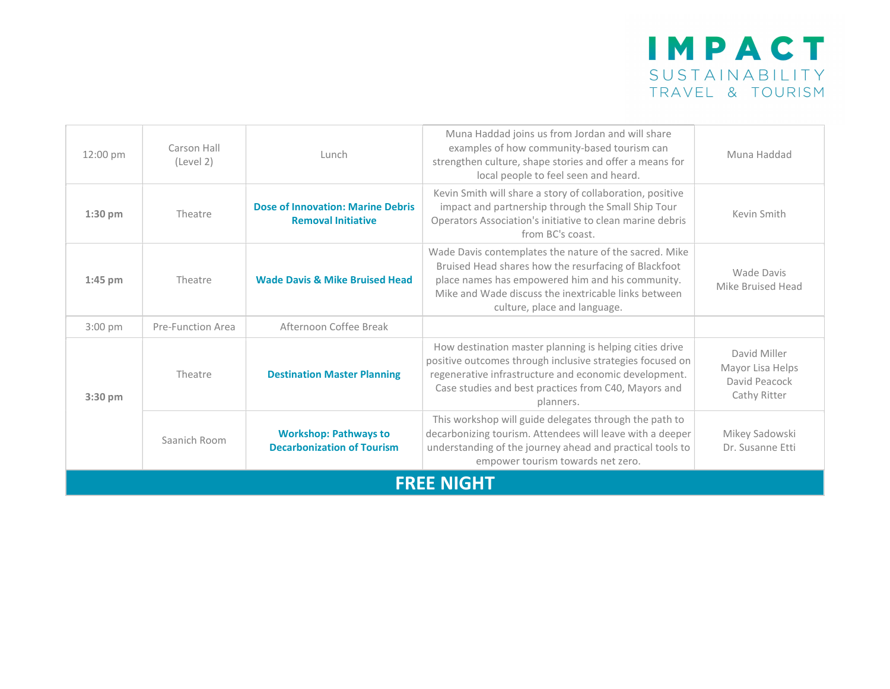

| 12:00 pm          | Carson Hall<br>(Level 2) | Lunch                                                                 | Muna Haddad joins us from Jordan and will share<br>examples of how community-based tourism can<br>strengthen culture, shape stories and offer a means for<br>local people to feel seen and heard.                                                          | Muna Haddad                                                       |
|-------------------|--------------------------|-----------------------------------------------------------------------|------------------------------------------------------------------------------------------------------------------------------------------------------------------------------------------------------------------------------------------------------------|-------------------------------------------------------------------|
| $1:30$ pm         | Theatre                  | <b>Dose of Innovation: Marine Debris</b><br><b>Removal Initiative</b> | Kevin Smith will share a story of collaboration, positive<br>impact and partnership through the Small Ship Tour<br>Operators Association's initiative to clean marine debris<br>from BC's coast.                                                           | Kevin Smith                                                       |
| $1:45$ pm         | Theatre                  | <b>Wade Davis &amp; Mike Bruised Head</b>                             | Wade Davis contemplates the nature of the sacred. Mike<br>Bruised Head shares how the resurfacing of Blackfoot<br>place names has empowered him and his community.<br>Mike and Wade discuss the inextricable links between<br>culture, place and language. | Wade Davis<br>Mike Bruised Head                                   |
| $3:00$ pm         | Pre-Function Area        | Afternoon Coffee Break                                                |                                                                                                                                                                                                                                                            |                                                                   |
| $3:30$ pm         | Theatre                  | <b>Destination Master Planning</b>                                    | How destination master planning is helping cities drive<br>positive outcomes through inclusive strategies focused on<br>regenerative infrastructure and economic development.<br>Case studies and best practices from C40, Mayors and<br>planners.         | David Miller<br>Mayor Lisa Helps<br>David Peacock<br>Cathy Ritter |
|                   | Saanich Room             | <b>Workshop: Pathways to</b><br><b>Decarbonization of Tourism</b>     | This workshop will guide delegates through the path to<br>decarbonizing tourism. Attendees will leave with a deeper<br>understanding of the journey ahead and practical tools to<br>empower tourism towards net zero.                                      | Mikey Sadowski<br>Dr. Susanne Etti                                |
| <b>FREE NIGHT</b> |                          |                                                                       |                                                                                                                                                                                                                                                            |                                                                   |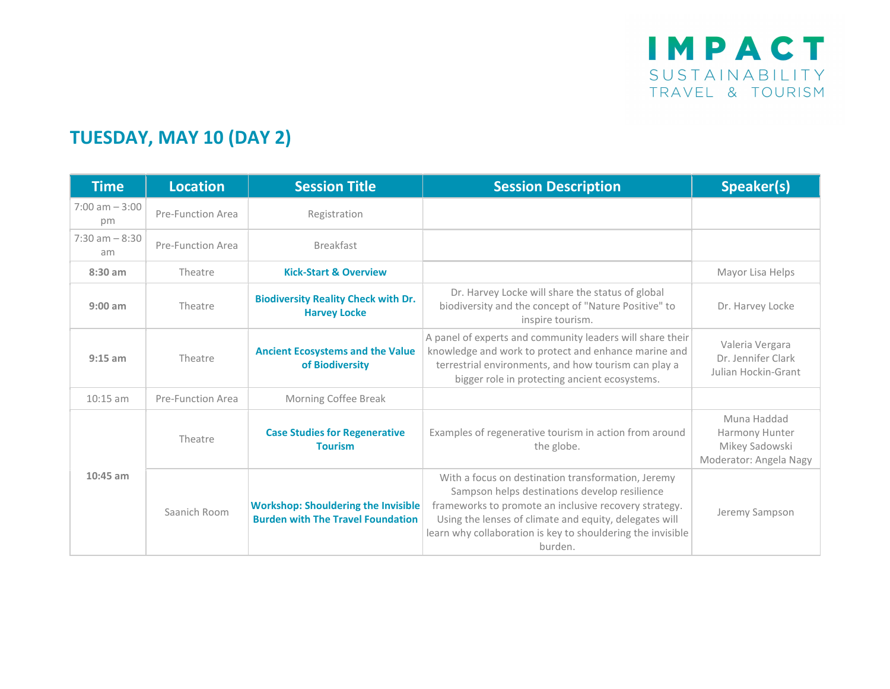## TUESDAY, MAY 10 (DAY 2)

| <b>Time</b>             | <b>Location</b>   | <b>Session Title</b>                                                                   | <b>Session Description</b>                                                                                                                                                                                                                                                                       | Speaker(s)                                                                |
|-------------------------|-------------------|----------------------------------------------------------------------------------------|--------------------------------------------------------------------------------------------------------------------------------------------------------------------------------------------------------------------------------------------------------------------------------------------------|---------------------------------------------------------------------------|
| $7:00$ am $-3:00$<br>pm | Pre-Function Area | Registration                                                                           |                                                                                                                                                                                                                                                                                                  |                                                                           |
| $7:30$ am $-8:30$<br>am | Pre-Function Area | <b>Breakfast</b>                                                                       |                                                                                                                                                                                                                                                                                                  |                                                                           |
| $8:30$ am               | Theatre           | <b>Kick-Start &amp; Overview</b>                                                       |                                                                                                                                                                                                                                                                                                  | Mayor Lisa Helps                                                          |
| $9:00$ am               | Theatre           | <b>Biodiversity Reality Check with Dr.</b><br><b>Harvey Locke</b>                      | Dr. Harvey Locke will share the status of global<br>biodiversity and the concept of "Nature Positive" to<br>inspire tourism.                                                                                                                                                                     | Dr. Harvey Locke                                                          |
| $9:15$ am               | Theatre           | <b>Ancient Ecosystems and the Value</b><br>of Biodiversity                             | A panel of experts and community leaders will share their<br>knowledge and work to protect and enhance marine and<br>terrestrial environments, and how tourism can play a<br>bigger role in protecting ancient ecosystems.                                                                       | Valeria Vergara<br>Dr. Jennifer Clark<br>Julian Hockin-Grant              |
| $10:15$ am              | Pre-Function Area | Morning Coffee Break                                                                   |                                                                                                                                                                                                                                                                                                  |                                                                           |
| $10:45$ am              | Theatre           | <b>Case Studies for Regenerative</b><br><b>Tourism</b>                                 | Examples of regenerative tourism in action from around<br>the globe.                                                                                                                                                                                                                             | Muna Haddad<br>Harmony Hunter<br>Mikey Sadowski<br>Moderator: Angela Nagy |
|                         | Saanich Room      | <b>Workshop: Shouldering the Invisible</b><br><b>Burden with The Travel Foundation</b> | With a focus on destination transformation, Jeremy<br>Sampson helps destinations develop resilience<br>frameworks to promote an inclusive recovery strategy.<br>Using the lenses of climate and equity, delegates will<br>learn why collaboration is key to shouldering the invisible<br>burden. | Jeremy Sampson                                                            |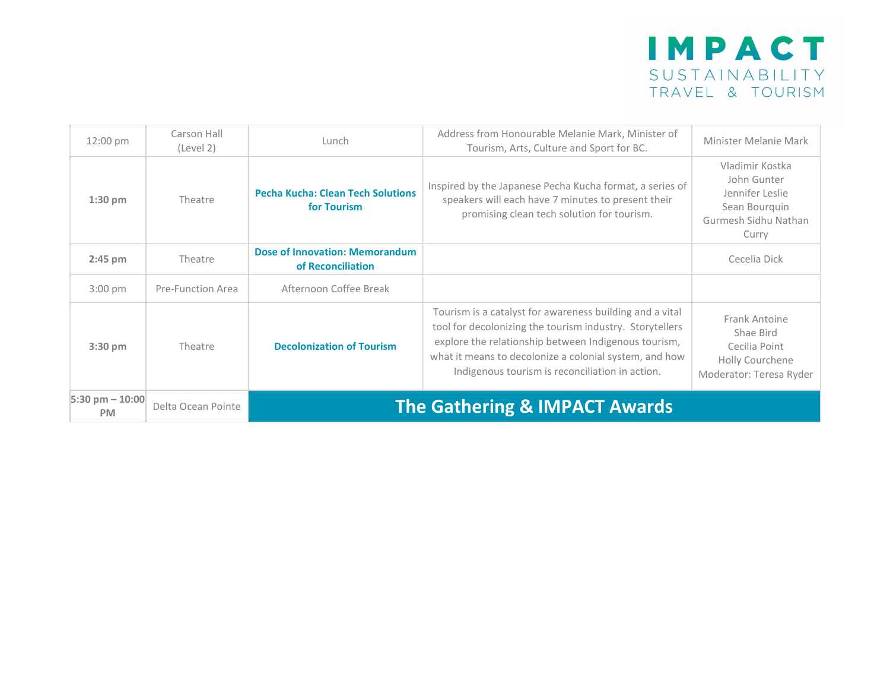| 12:00 pm                         | Carson Hall<br>(Level 2) | Lunch                                                      | Address from Honourable Melanie Mark, Minister of<br>Tourism, Arts, Culture and Sport for BC.                                                                                                                                                                                             | Minister Melanie Mark                                                                               |
|----------------------------------|--------------------------|------------------------------------------------------------|-------------------------------------------------------------------------------------------------------------------------------------------------------------------------------------------------------------------------------------------------------------------------------------------|-----------------------------------------------------------------------------------------------------|
| $1:30$ pm                        | Theatre                  | <b>Pecha Kucha: Clean Tech Solutions</b><br>for Tourism    | Inspired by the Japanese Pecha Kucha format, a series of<br>speakers will each have 7 minutes to present their<br>promising clean tech solution for tourism.                                                                                                                              | Vladimir Kostka<br>John Gunter<br>Jennifer Leslie<br>Sean Bourquin<br>Gurmesh Sidhu Nathan<br>Curry |
| $2:45$ pm                        | Theatre                  | <b>Dose of Innovation: Memorandum</b><br>of Reconciliation |                                                                                                                                                                                                                                                                                           | Cecelia Dick                                                                                        |
| $3:00$ pm                        | Pre-Function Area        | Afternoon Coffee Break                                     |                                                                                                                                                                                                                                                                                           |                                                                                                     |
| $3:30$ pm                        | Theatre                  | <b>Decolonization of Tourism</b>                           | Tourism is a catalyst for awareness building and a vital<br>tool for decolonizing the tourism industry. Storytellers<br>explore the relationship between Indigenous tourism,<br>what it means to decolonize a colonial system, and how<br>Indigenous tourism is reconciliation in action. | Frank Antoine<br>Shae Bird<br>Cecilia Point<br>Holly Courchene<br>Moderator: Teresa Ryder           |
| $5:30$ pm $- 10:00$<br><b>PM</b> | Delta Ocean Pointe       |                                                            | <b>The Gathering &amp; IMPACT Awards</b>                                                                                                                                                                                                                                                  |                                                                                                     |